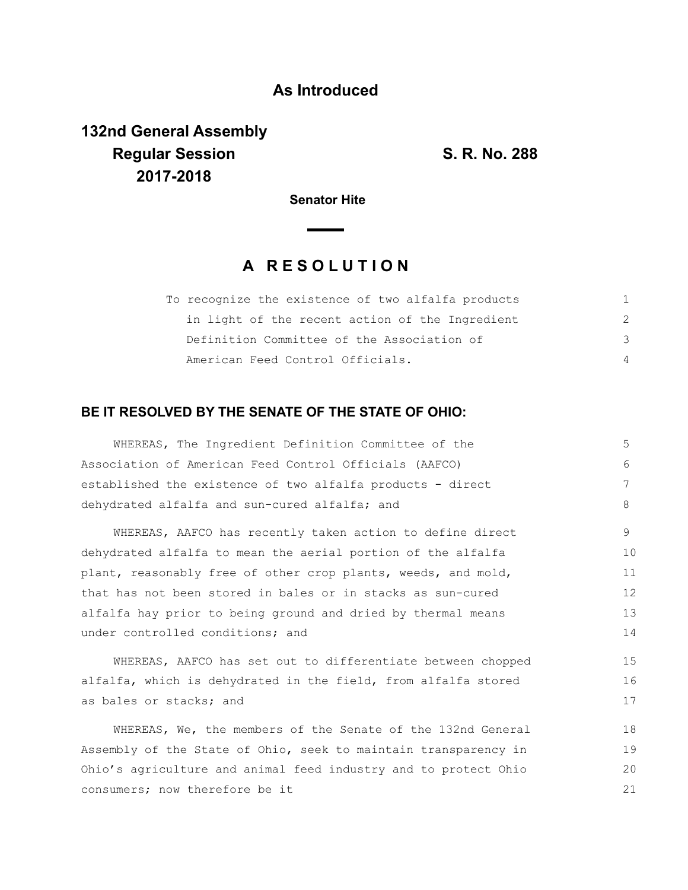## **As Introduced**

# **132nd General Assembly Regular Session S. R. No. 288 2017-2018**

17

18

**Senator Hite**

## **A R E S O L U T I O N**

| To recognize the existence of two alfalfa products |               |
|----------------------------------------------------|---------------|
| in light of the recent action of the Ingredient    | $\mathcal{P}$ |
| Definition Committee of the Association of         | 3             |
| American Feed Control Officials.                   | 4             |

### **BE IT RESOLVED BY THE SENATE OF THE STATE OF OHIO:**

| WHEREAS, The Ingredient Definition Committee of the            | 5  |
|----------------------------------------------------------------|----|
| Association of American Feed Control Officials (AAFCO)         | 6  |
| established the existence of two alfalfa products - direct     | 7  |
| dehydrated alfalfa and sun-cured alfalfa; and                  | 8  |
| WHEREAS, AAFCO has recently taken action to define direct      | 9  |
| dehydrated alfalfa to mean the aerial portion of the alfalfa   | 10 |
| plant, reasonably free of other crop plants, weeds, and mold,  | 11 |
| that has not been stored in bales or in stacks as sun-cured    | 12 |
| alfalfa hay prior to being ground and dried by thermal means   | 13 |
| under controlled conditions; and                               | 14 |
| WHEREAS, AAFCO has set out to differentiate between chopped    | 15 |
| alfalfa, which is dehydrated in the field, from alfalfa stored | 16 |

as bales or stacks; and WHEREAS, We, the members of the Senate of the 132nd General

Assembly of the State of Ohio, seek to maintain transparency in Ohio's agriculture and animal feed industry and to protect Ohio consumers; now therefore be it 19 20 21